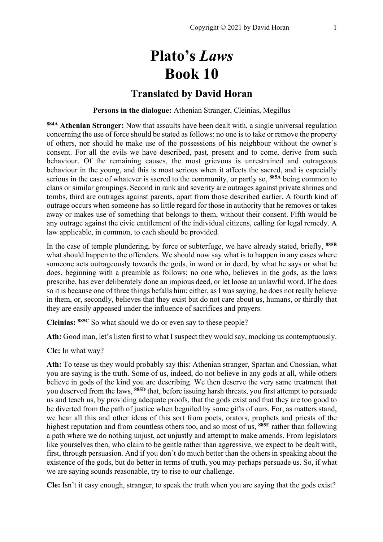# **Plato's** *Laws* **Book 10**

# **Translated by David Horan**

# **Persons in the dialogue:** Athenian Stranger, Cleinias, Megillus

**884A Athenian Stranger:** Now that assaults have been dealt with, a single universal regulation concerning the use of force should be stated as follows: no one is to take or remove the property of others, nor should he make use of the possessions of his neighbour without the owner's consent. For all the evils we have described, past, present and to come, derive from such behaviour. Of the remaining causes, the most grievous is unrestrained and outrageous behaviour in the young, and this is most serious when it affects the sacred, and is especially serious in the case of whatever is sacred to the community, or partly so, **885A** being common to clans or similar groupings. Second in rank and severity are outrages against private shrines and tombs, third are outrages against parents, apart from those described earlier. A fourth kind of outrage occurs when someone has so little regard for those in authority that he removes or takes away or makes use of something that belongs to them, without their consent. Fifth would be any outrage against the civic entitlement of the individual citizens, calling for legal remedy. A law applicable, in common, to each should be provided.

In the case of temple plundering, by force or subterfuge, we have already stated, briefly, **885B** what should happen to the offenders. We should now say what is to happen in any cases where someone acts outrageously towards the gods, in word or in deed, by what he says or what he does, beginning with a preamble as follows; no one who, believes in the gods, as the laws prescribe, has ever deliberately done an impious deed, or let loose an unlawful word. If he does so it is because one of three things befalls him: either, as I was saying, he does not really believe in them, or, secondly, believes that they exist but do not care about us, humans, or thirdly that they are easily appeased under the influence of sacrifices and prayers.

**Cleinias: 885C** So what should we do or even say to these people?

**Ath:** Good man, let's listen first to what I suspect they would say, mocking us contemptuously.

**Cle:** In what way?

**Ath:** To tease us they would probably say this: Athenian stranger, Spartan and Cnossian, what you are saying is the truth. Some of us, indeed, do not believe in any gods at all, while others believe in gods of the kind you are describing. We then deserve the very same treatment that you deserved from the laws, **885D** that, before issuing harsh threats, you first attempt to persuade us and teach us, by providing adequate proofs, that the gods exist and that they are too good to be diverted from the path of justice when beguiled by some gifts of ours. For, as matters stand, we hear all this and other ideas of this sort from poets, orators, prophets and priests of the highest reputation and from countless others too, and so most of us, **885E** rather than following a path where we do nothing unjust, act unjustly and attempt to make amends. From legislators like yourselves then, who claim to be gentle rather than aggressive, we expect to be dealt with, first, through persuasion. And if you don't do much better than the others in speaking about the existence of the gods, but do better in terms of truth, you may perhaps persuade us. So, if what we are saying sounds reasonable, try to rise to our challenge.

**Cle:** Isn't it easy enough, stranger, to speak the truth when you are saying that the gods exist?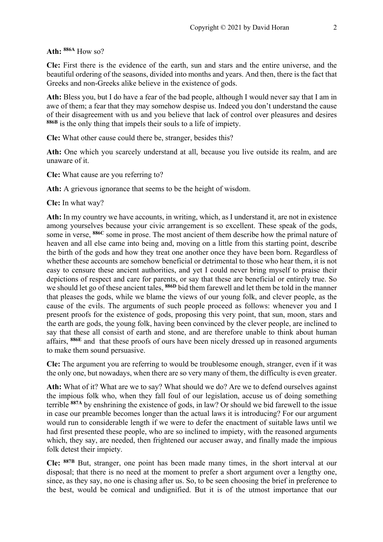#### **Ath: 886A** How so?

**Cle:** First there is the evidence of the earth, sun and stars and the entire universe, and the beautiful ordering of the seasons, divided into months and years. And then, there is the fact that Greeks and non-Greeks alike believe in the existence of gods.

**Ath:** Bless you, but I do have a fear of the bad people, although I would never say that I am in awe of them; a fear that they may somehow despise us. Indeed you don't understand the cause of their disagreement with us and you believe that lack of control over pleasures and desires **886B** is the only thing that impels their souls to a life of impiety.

**Cle:** What other cause could there be, stranger, besides this?

**Ath:** One which you scarcely understand at all, because you live outside its realm, and are unaware of it.

**Cle:** What cause are you referring to?

**Ath:** A grievous ignorance that seems to be the height of wisdom.

**Cle:** In what way?

**Ath:** In my country we have accounts, in writing, which, as I understand it, are not in existence among yourselves because your civic arrangement is so excellent. These speak of the gods, some in verse, **886C** some in prose. The most ancient of them describe how the primal nature of heaven and all else came into being and, moving on a little from this starting point, describe the birth of the gods and how they treat one another once they have been born. Regardless of whether these accounts are somehow beneficial or detrimental to those who hear them, it is not easy to censure these ancient authorities, and yet I could never bring myself to praise their depictions of respect and care for parents, or say that these are beneficial or entirely true. So we should let go of these ancient tales, **886D** bid them farewell and let them be told in the manner that pleases the gods, while we blame the views of our young folk, and clever people, as the cause of the evils. The arguments of such people proceed as follows: whenever you and I present proofs for the existence of gods, proposing this very point, that sun, moon, stars and the earth are gods, the young folk, having been convinced by the clever people, are inclined to say that these all consist of earth and stone, and are therefore unable to think about human affairs, **886E** and that these proofs of ours have been nicely dressed up in reasoned arguments to make them sound persuasive.

**Cle:** The argument you are referring to would be troublesome enough, stranger, even if it was the only one, but nowadays, when there are so very many of them, the difficulty is even greater.

**Ath:** What of it? What are we to say? What should we do? Are we to defend ourselves against the impious folk who, when they fall foul of our legislation, accuse us of doing something terrible **887A** by enshrining the existence of gods, in law? Or should we bid farewell to the issue in case our preamble becomes longer than the actual laws it is introducing? For our argument would run to considerable length if we were to defer the enactment of suitable laws until we had first presented these people, who are so inclined to impiety, with the reasoned arguments which, they say, are needed, then frightened our accuser away, and finally made the impious folk detest their impiety.

**Cle: 887B** But, stranger, one point has been made many times, in the short interval at our disposal; that there is no need at the moment to prefer a short argument over a lengthy one, since, as they say, no one is chasing after us. So, to be seen choosing the brief in preference to the best, would be comical and undignified. But it is of the utmost importance that our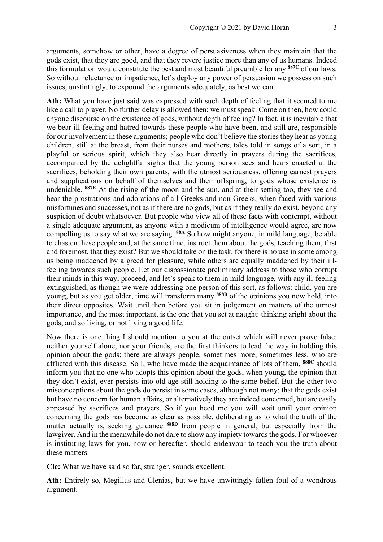arguments, somehow or other, have a degree of persuasiveness when they maintain that the gods exist, that they are good, and that they revere justice more than any of us humans. Indeed this formulation would constitute the best and most beautiful preamble for any **887C** of our laws. So without reluctance or impatience, let's deploy any power of persuasion we possess on such issues, unstintingly, to expound the arguments adequately, as best we can.

**Ath:** What you have just said was expressed with such depth of feeling that it seemed to me like a call to prayer. No further delay is allowed then; we must speak. Come on then, how could anyone discourse on the existence of gods, without depth of feeling? In fact, it is inevitable that we bear ill-feeling and hatred towards these people who have been, and still are, responsible for our involvement in these arguments; people who don't believe the stories they hear as young children, still at the breast, from their nurses and mothers; tales told in songs of a sort, in a playful or serious spirit, which they also hear directly in prayers during the sacrifices, accompanied by the delightful sights that the young person sees and hears enacted at the sacrifices, beholding their own parents, with the utmost seriousness, offering earnest prayers and supplications on behalf of themselves and their offspring, to gods whose existence is undeniable. **887E** At the rising of the moon and the sun, and at their setting too, they see and hear the prostrations and adorations of all Greeks and non-Greeks, when faced with various misfortunes and successes, not as if there are no gods, but as if they really do exist, beyond any suspicion of doubt whatsoever. But people who view all of these facts with contempt, without a single adequate argument, as anyone with a modicum of intelligence would agree, are now compelling us to say what we are saying. **88A** So how might anyone, in mild language, be able to chasten these people and, at the same time, instruct them about the gods, teaching them, first and foremost, that they exist? But we should take on the task, for there is no use in some among us being maddened by a greed for pleasure, while others are equally maddened by their illfeeling towards such people. Let our dispassionate preliminary address to those who corrupt their minds in this way, proceed, and let's speak to them in mild language, with any ill-feeling extinguished, as though we were addressing one person of this sort, as follows: child, you are young, but as you get older, time will transform many **888B** of the opinions you now hold, into their direct opposites. Wait until then before you sit in judgement on matters of the utmost importance, and the most important, is the one that you set at naught: thinking aright about the gods, and so living, or not living a good life.

Now there is one thing I should mention to you at the outset which will never prove false: neither yourself alone, nor your friends, are the first thinkers to lead the way in holding this opinion about the gods; there are always people, sometimes more, sometimes less, who are afflicted with this disease. So I, who have made the acquaintance of lots of them, **888C** should inform you that no one who adopts this opinion about the gods, when young, the opinion that they don't exist, ever persists into old age still holding to the same belief. But the other two misconceptions about the gods do persist in some cases, although not many: that the gods exist but have no concern for human affairs, or alternatively they are indeed concerned, but are easily appeased by sacrifices and prayers. So if you heed me you will wait until your opinion concerning the gods has become as clear as possible, deliberating as to what the truth of the matter actually is, seeking guidance **888D** from people in general, but especially from the lawgiver. And in the meanwhile do not dare to show any impiety towards the gods. For whoever is instituting laws for you, now or hereafter, should endeavour to teach you the truth about these matters.

**Cle:** What we have said so far, stranger, sounds excellent.

**Ath:** Entirely so, Megillus and Clenias, but we have unwittingly fallen foul of a wondrous argument.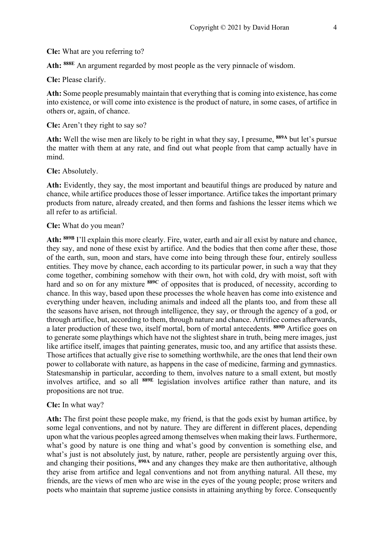**Cle:** What are you referring to?

**Ath: 888E** An argument regarded by most people as the very pinnacle of wisdom.

**Cle:** Please clarify.

**Ath:** Some people presumably maintain that everything that is coming into existence, has come into existence, or will come into existence is the product of nature, in some cases, of artifice in others or, again, of chance.

**Cle:** Aren't they right to say so?

**Ath:** Well the wise men are likely to be right in what they say, I presume, **889A** but let's pursue the matter with them at any rate, and find out what people from that camp actually have in mind.

**Cle:** Absolutely.

**Ath:** Evidently, they say, the most important and beautiful things are produced by nature and chance, while artifice produces those of lesser importance. Artifice takes the important primary products from nature, already created, and then forms and fashions the lesser items which we all refer to as artificial.

**Cle:** What do you mean?

**Ath: 889B** I'll explain this more clearly. Fire, water, earth and air all exist by nature and chance, they say, and none of these exist by artifice. And the bodies that then come after these, those of the earth, sun, moon and stars, have come into being through these four, entirely soulless entities. They move by chance, each according to its particular power, in such a way that they come together, combining somehow with their own, hot with cold, dry with moist, soft with hard and so on for any mixture **889C** of opposites that is produced, of necessity, according to chance. In this way, based upon these processes the whole heaven has come into existence and everything under heaven, including animals and indeed all the plants too, and from these all the seasons have arisen, not through intelligence, they say, or through the agency of a god, or through artifice, but, according to them, through nature and chance. Artrifice comes afterwards, a later production of these two, itself mortal, born of mortal antecedents. **889D** Artifice goes on to generate some playthings which have not the slightest share in truth, being mere images, just like artifice itself, images that painting generates, music too, and any artifice that assists these. Those artifices that actually give rise to something worthwhile, are the ones that lend their own power to collaborate with nature, as happens in the case of medicine, farming and gymnastics. Statesmanship in particular, according to them, involves nature to a small extent, but mostly involves artifice, and so all **889E** legislation involves artifice rather than nature, and its propositions are not true.

#### **Cle:** In what way?

**Ath:** The first point these people make, my friend, is that the gods exist by human artifice, by some legal conventions, and not by nature. They are different in different places, depending upon what the various peoples agreed among themselves when making their laws. Furthermore, what's good by nature is one thing and what's good by convention is something else, and what's just is not absolutely just, by nature, rather, people are persistently arguing over this, and changing their positions, **890A** and any changes they make are then authoritative, although they arise from artifice and legal conventions and not from anything natural. All these, my friends, are the views of men who are wise in the eyes of the young people; prose writers and poets who maintain that supreme justice consists in attaining anything by force. Consequently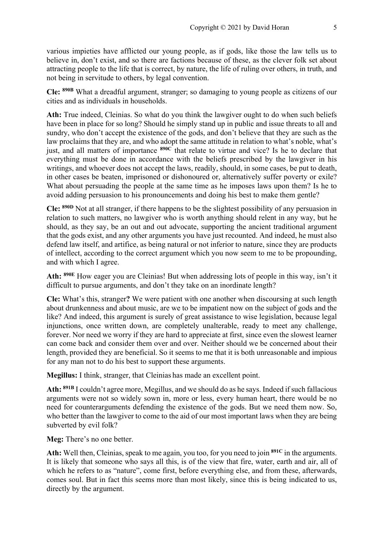various impieties have afflicted our young people, as if gods, like those the law tells us to believe in, don't exist, and so there are factions because of these, as the clever folk set about attracting people to the life that is correct, by nature, the life of ruling over others, in truth, and not being in servitude to others, by legal convention.

**Cle: 890B** What a dreadful argument, stranger; so damaging to young people as citizens of our cities and as individuals in households.

**Ath:** True indeed, Cleinias. So what do you think the lawgiver ought to do when such beliefs have been in place for so long? Should he simply stand up in public and issue threats to all and sundry, who don't accept the existence of the gods, and don't believe that they are such as the law proclaims that they are, and who adopt the same attitude in relation to what's noble, what's just, and all matters of importance **890C** that relate to virtue and vice? Is he to declare that everything must be done in accordance with the beliefs prescribed by the lawgiver in his writings, and whoever does not accept the laws, readily, should, in some cases, be put to death, in other cases be beaten, imprisoned or dishonoured or, alternatively suffer poverty or exile? What about persuading the people at the same time as he imposes laws upon them? Is he to avoid adding persuasion to his pronouncements and doing his best to make them gentle?

**Cle: 890D** Not at all stranger, if there happens to be the slightest possibility of any persuasion in relation to such matters, no lawgiver who is worth anything should relent in any way, but he should, as they say, be an out and out advocate, supporting the ancient traditional argument that the gods exist, and any other arguments you have just recounted. And indeed, he must also defend law itself, and artifice, as being natural or not inferior to nature, since they are products of intellect, according to the correct argument which you now seem to me to be propounding, and with which I agree.

**Ath: 890E** How eager you are Cleinias! But when addressing lots of people in this way, isn't it difficult to pursue arguments, and don't they take on an inordinate length?

**Cle:** What's this, stranger**?** We were patient with one another when discoursing at such length about drunkenness and about music, are we to be impatient now on the subject of gods and the like? And indeed, this argument is surely of great assistance to wise legislation, because legal injunctions, once written down, are completely unalterable, ready to meet any challenge, forever. Nor need we worry if they are hard to appreciate at first, since even the slowest learner can come back and consider them over and over. Neither should we be concerned about their length, provided they are beneficial. So it seems to me that it is both unreasonable and impious for any man not to do his best to support these arguments.

**Megillus:** I think, stranger, that Cleinias has made an excellent point.

**Ath: 891B** I couldn't agree more, Megillus, and we should do as he says. Indeed if such fallacious arguments were not so widely sown in, more or less, every human heart, there would be no need for counterarguments defending the existence of the gods. But we need them now. So, who better than the lawgiver to come to the aid of our most important laws when they are being subverted by evil folk?

**Meg:** There's no one better.

**Ath:** Well then, Cleinias, speak to me again, you too, for you need to join **891C** in the arguments. It is likely that someone who says all this, is of the view that fire, water, earth and air, all of which he refers to as "nature", come first, before everything else, and from these, afterwards, comes soul. But in fact this seems more than most likely, since this is being indicated to us, directly by the argument.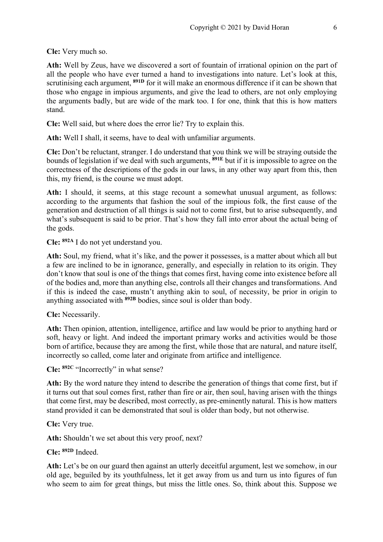**Cle:** Very much so.

**Ath:** Well by Zeus, have we discovered a sort of fountain of irrational opinion on the part of all the people who have ever turned a hand to investigations into nature. Let's look at this, scrutinising each argument, **891D** for it will make an enormous difference if it can be shown that those who engage in impious arguments, and give the lead to others, are not only employing the arguments badly, but are wide of the mark too. I for one, think that this is how matters stand.

**Cle:** Well said, but where does the error lie? Try to explain this.

**Ath:** Well I shall, it seems, have to deal with unfamiliar arguments.

**Cle:** Don't be reluctant, stranger. I do understand that you think we will be straying outside the bounds of legislation if we deal with such arguments, **891E** but if it is impossible to agree on the correctness of the descriptions of the gods in our laws, in any other way apart from this, then this, my friend, is the course we must adopt.

Ath: I should, it seems, at this stage recount a somewhat unusual argument, as follows: according to the arguments that fashion the soul of the impious folk, the first cause of the generation and destruction of all things is said not to come first, but to arise subsequently, and what's subsequent is said to be prior. That's how they fall into error about the actual being of the gods.

**Cle: 892A** I do not yet understand you.

**Ath:** Soul, my friend, what it's like, and the power it possesses, is a matter about which all but a few are inclined to be in ignorance, generally, and especially in relation to its origin. They don't know that soul is one of the things that comes first, having come into existence before all of the bodies and, more than anything else, controls all their changes and transformations. And if this is indeed the case, mustn't anything akin to soul, of necessity, be prior in origin to anything associated with **892B** bodies, since soul is older than body.

**Cle:** Necessarily.

**Ath:** Then opinion, attention, intelligence, artifice and law would be prior to anything hard or soft, heavy or light. And indeed the important primary works and activities would be those born of artifice, because they are among the first, while those that are natural, and nature itself, incorrectly so called, come later and originate from artifice and intelligence.

**Cle: 892C** "Incorrectly" in what sense?

**Ath:** By the word nature they intend to describe the generation of things that come first, but if it turns out that soul comes first, rather than fire or air, then soul, having arisen with the things that come first, may be described, most correctly, as pre-eminently natural. This is how matters stand provided it can be demonstrated that soul is older than body, but not otherwise.

**Cle:** Very true.

**Ath:** Shouldn't we set about this very proof, next?

**Cle: 892D** Indeed.

**Ath:** Let's be on our guard then against an utterly deceitful argument, lest we somehow, in our old age, beguiled by its youthfulness, let it get away from us and turn us into figures of fun who seem to aim for great things, but miss the little ones. So, think about this. Suppose we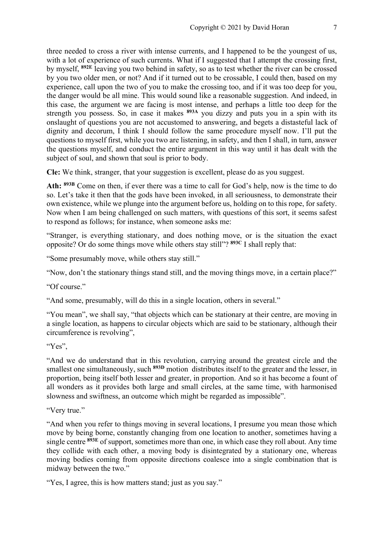three needed to cross a river with intense currents, and I happened to be the youngest of us, with a lot of experience of such currents. What if I suggested that I attempt the crossing first, by myself, **892E** leaving you two behind in safety, so as to test whether the river can be crossed by you two older men, or not? And if it turned out to be crossable, I could then, based on my experience, call upon the two of you to make the crossing too, and if it was too deep for you, the danger would be all mine. This would sound like a reasonable suggestion. And indeed, in this case, the argument we are facing is most intense, and perhaps a little too deep for the strength you possess. So, in case it makes **893A** you dizzy and puts you in a spin with its onslaught of questions you are not accustomed to answering, and begets a distasteful lack of dignity and decorum, I think I should follow the same procedure myself now. I'll put the questions to myself first, while you two are listening, in safety, and then I shall, in turn, answer the questions myself, and conduct the entire argument in this way until it has dealt with the subject of soul, and shown that soul is prior to body.

**Cle:** We think, stranger, that your suggestion is excellent, please do as you suggest.

**Ath: 893B** Come on then, if ever there was a time to call for God's help, now is the time to do so. Let's take it then that the gods have been invoked, in all seriousness, to demonstrate their own existence, while we plunge into the argument before us, holding on to this rope, for safety. Now when I am being challenged on such matters, with questions of this sort, it seems safest to respond as follows; for instance, when someone asks me:

"Stranger, is everything stationary, and does nothing move, or is the situation the exact opposite? Or do some things move while others stay still"? **893C** I shall reply that:

"Some presumably move, while others stay still."

"Now, don't the stationary things stand still, and the moving things move, in a certain place?"

"Of course."

"And some, presumably, will do this in a single location, others in several."

"You mean", we shall say, "that objects which can be stationary at their centre, are moving in a single location, as happens to circular objects which are said to be stationary, although their circumference is revolving",

"Yes".

"And we do understand that in this revolution, carrying around the greatest circle and the smallest one simultaneously, such **893D** motion distributes itself to the greater and the lesser, in proportion, being itself both lesser and greater, in proportion. And so it has become a fount of all wonders as it provides both large and small circles, at the same time, with harmonised slowness and swiftness, an outcome which might be regarded as impossible".

"Very true."

"And when you refer to things moving in several locations, I presume you mean those which move by being borne, constantly changing from one location to another, sometimes having a single centre **893E** of support, sometimes more than one, in which case they roll about. Any time they collide with each other, a moving body is disintegrated by a stationary one, whereas moving bodies coming from opposite directions coalesce into a single combination that is midway between the two."

"Yes, I agree, this is how matters stand; just as you say."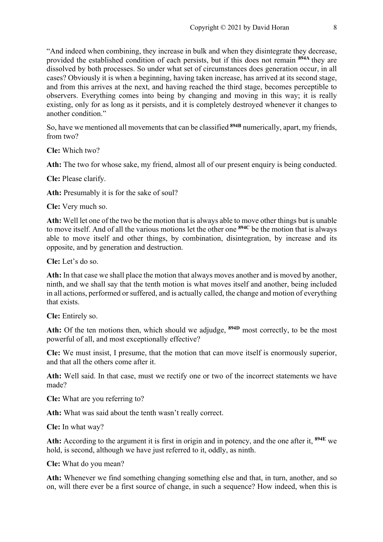"And indeed when combining, they increase in bulk and when they disintegrate they decrease, provided the established condition of each persists, but if this does not remain **894A** they are dissolved by both processes. So under what set of circumstances does generation occur, in all cases? Obviously it is when a beginning, having taken increase, has arrived at its second stage, and from this arrives at the next, and having reached the third stage, becomes perceptible to observers. Everything comes into being by changing and moving in this way; it is really existing, only for as long as it persists, and it is completely destroyed whenever it changes to another condition."

So, have we mentioned all movements that can be classified **894B** numerically, apart, my friends, from two?

**Cle:** Which two?

**Ath:** The two for whose sake, my friend, almost all of our present enquiry is being conducted.

**Cle:** Please clarify.

**Ath:** Presumably it is for the sake of soul?

**Cle:** Very much so.

**Ath:** Well let one of the two be the motion that is always able to move other things but is unable to move itself. And of all the various motions let the other one **894C** be the motion that is always able to move itself and other things, by combination, disintegration, by increase and its opposite, and by generation and destruction.

**Cle:** Let's do so.

**Ath:** In that case we shall place the motion that always moves another and is moved by another, ninth, and we shall say that the tenth motion is what moves itself and another, being included in all actions, performed or suffered, and is actually called, the change and motion of everything that exists.

**Cle:** Entirely so.

**Ath:** Of the ten motions then, which should we adjudge, **894D** most correctly, to be the most powerful of all, and most exceptionally effective?

**Cle:** We must insist, I presume, that the motion that can move itself is enormously superior, and that all the others come after it.

**Ath:** Well said. In that case, must we rectify one or two of the incorrect statements we have made?

**Cle:** What are you referring to?

**Ath:** What was said about the tenth wasn't really correct.

**Cle:** In what way?

**Ath:** According to the argument it is first in origin and in potency, and the one after it, **894E** we hold, is second, although we have just referred to it, oddly, as ninth.

**Cle:** What do you mean?

**Ath:** Whenever we find something changing something else and that, in turn, another, and so on, will there ever be a first source of change, in such a sequence? How indeed, when this is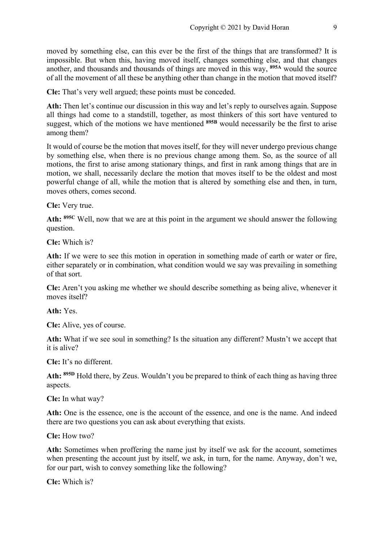moved by something else, can this ever be the first of the things that are transformed? It is impossible. But when this, having moved itself, changes something else, and that changes another, and thousands and thousands of things are moved in this way, **895A** would the source of all the movement of all these be anything other than change in the motion that moved itself?

**Cle:** That's very well argued; these points must be conceded.

**Ath:** Then let's continue our discussion in this way and let's reply to ourselves again. Suppose all things had come to a standstill, together, as most thinkers of this sort have ventured to suggest, which of the motions we have mentioned <sup>895B</sup> would necessarily be the first to arise among them?

It would of course be the motion that moves itself, for they will never undergo previous change by something else, when there is no previous change among them. So, as the source of all motions, the first to arise among stationary things, and first in rank among things that are in motion, we shall, necessarily declare the motion that moves itself to be the oldest and most powerful change of all, while the motion that is altered by something else and then, in turn, moves others, comes second.

**Cle:** Very true.

**Ath: 895C** Well, now that we are at this point in the argument we should answer the following question.

**Cle:** Which is?

**Ath:** If we were to see this motion in operation in something made of earth or water or fire, either separately or in combination, what condition would we say was prevailing in something of that sort.

**Cle:** Aren't you asking me whether we should describe something as being alive, whenever it moves itself?

**Ath:** Yes.

**Cle:** Alive, yes of course.

**Ath:** What if we see soul in something? Is the situation any different? Mustn't we accept that it is alive?

**Cle:** It's no different.

**Ath: 895D** Hold there, by Zeus. Wouldn't you be prepared to think of each thing as having three aspects.

**Cle:** In what way?

**Ath:** One is the essence, one is the account of the essence, and one is the name. And indeed there are two questions you can ask about everything that exists.

**Cle:** How two?

**Ath:** Sometimes when proffering the name just by itself we ask for the account, sometimes when presenting the account just by itself, we ask, in turn, for the name. Anyway, don't we, for our part, wish to convey something like the following?

**Cle:** Which is?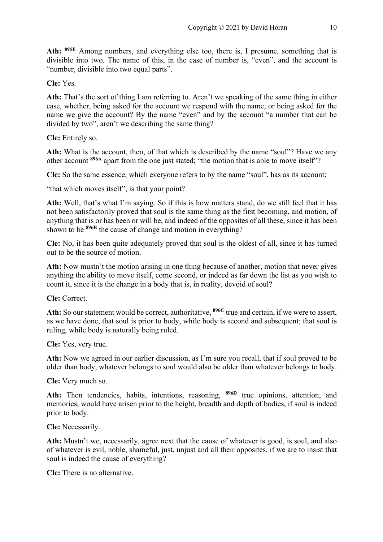**Ath: 895E** Among numbers, and everything else too, there is, I presume, something that is divisible into two. The name of this, in the case of number is, "even", and the account is "number, divisible into two equal parts".

**Cle:** Yes.

**Ath:** That's the sort of thing I am referring to. Aren't we speaking of the same thing in either case, whether, being asked for the account we respond with the name, or being asked for the name we give the account? By the name "even" and by the account "a number that can be divided by two", aren't we describing the same thing?

**Cle:** Entirely so.

**Ath:** What is the account, then, of that which is described by the name "soul"? Have we any other account **896A** apart from the one just stated; "the motion that is able to move itself"?

**Cle:** So the same essence, which everyone refers to by the name "soul", has as its account;

"that which moves itself", is that your point?

**Ath:** Well, that's what I'm saying. So if this is how matters stand, do we still feel that it has not been satisfactorily proved that soul is the same thing as the first becoming, and motion, of anything that is or has been or will be, and indeed of the opposites of all these, since it has been shown to be <sup>896B</sup> the cause of change and motion in everything?

**Cle:** No, it has been quite adequately proved that soul is the oldest of all, since it has turned out to be the source of motion.

**Ath:** Now mustn't the motion arising in one thing because of another, motion that never gives anything the ability to move itself, come second, or indeed as far down the list as you wish to count it, since it is the change in a body that is, in reality, devoid of soul?

**Cle:** Correct.

**Ath:** So our statement would be correct, authoritative, **896C** true and certain, if we were to assert, as we have done, that soul is prior to body, while body is second and subsequent; that soul is ruling, while body is naturally being ruled.

**Cle:** Yes, very true.

**Ath:** Now we agreed in our earlier discussion, as I'm sure you recall, that if soul proved to be older than body, whatever belongs to soul would also be older than whatever belongs to body.

**Cle:** Very much so.

**Ath:** Then tendencies, habits, intentions, reasoning, **896D** true opinions, attention, and memories, would have arisen prior to the height, breadth and depth of bodies, if soul is indeed prior to body.

**Cle:** Necessarily.

**Ath:** Mustn't we, necessarily, agree next that the cause of whatever is good, is soul, and also of whatever is evil, noble, shameful, just, unjust and all their opposites, if we are to insist that soul is indeed the cause of everything?

**Cle:** There is no alternative.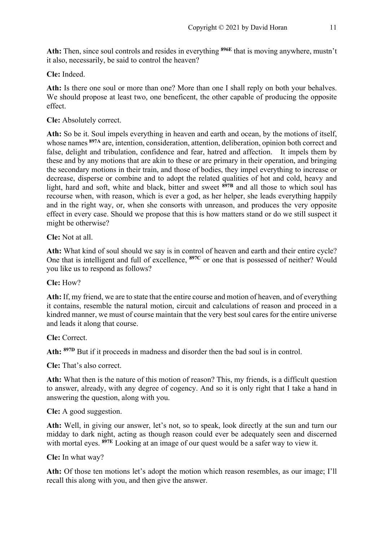**Ath:** Then, since soul controls and resides in everything **896E** that is moving anywhere, mustn't it also, necessarily, be said to control the heaven?

**Cle:** Indeed.

**Ath:** Is there one soul or more than one? More than one I shall reply on both your behalves. We should propose at least two, one beneficent, the other capable of producing the opposite effect.

**Cle:** Absolutely correct.

**Ath:** So be it. Soul impels everything in heaven and earth and ocean, by the motions of itself, whose names **897A** are, intention, consideration, attention, deliberation, opinion both correct and false, delight and tribulation, confidence and fear, hatred and affection. It impels them by these and by any motions that are akin to these or are primary in their operation, and bringing the secondary motions in their train, and those of bodies, they impel everything to increase or decrease, disperse or combine and to adopt the related qualities of hot and cold, heavy and light, hard and soft, white and black, bitter and sweet **897B** and all those to which soul has recourse when, with reason, which is ever a god, as her helper, she leads everything happily and in the right way, or, when she consorts with unreason, and produces the very opposite effect in every case. Should we propose that this is how matters stand or do we still suspect it might be otherwise?

**Cle:** Not at all.

**Ath:** What kind of soul should we say is in control of heaven and earth and their entire cycle? One that is intelligent and full of excellence, **897C** or one that is possessed of neither? Would you like us to respond as follows?

**Cle:** How?

**Ath:** If, my friend, we are to state that the entire course and motion of heaven, and of everything it contains, resemble the natural motion, circuit and calculations of reason and proceed in a kindred manner, we must of course maintain that the very best soul cares for the entire universe and leads it along that course.

**Cle:** Correct.

**Ath: 897D** But if it proceeds in madness and disorder then the bad soul is in control.

**Cle:** That's also correct.

**Ath:** What then is the nature of this motion of reason? This, my friends, is a difficult question to answer, already, with any degree of cogency. And so it is only right that I take a hand in answering the question, along with you.

**Cle:** A good suggestion.

**Ath:** Well, in giving our answer, let's not, so to speak, look directly at the sun and turn our midday to dark night, acting as though reason could ever be adequately seen and discerned with mortal eyes. <sup>897E</sup> Looking at an image of our quest would be a safer way to view it.

**Cle:** In what way?

**Ath:** Of those ten motions let's adopt the motion which reason resembles, as our image; I'll recall this along with you, and then give the answer.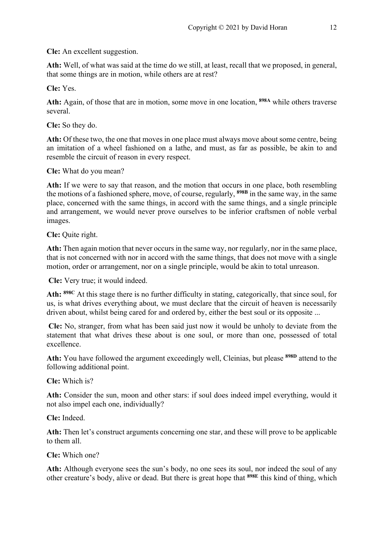**Cle:** An excellent suggestion.

**Ath:** Well, of what was said at the time do we still, at least, recall that we proposed, in general, that some things are in motion, while others are at rest?

**Cle:** Yes.

**Ath:** Again, of those that are in motion, some move in one location, **898A** while others traverse several.

**Cle:** So they do.

**Ath:** Of these two, the one that moves in one place must always move about some centre, being an imitation of a wheel fashioned on a lathe, and must, as far as possible, be akin to and resemble the circuit of reason in every respect.

**Cle:** What do you mean?

**Ath:** If we were to say that reason, and the motion that occurs in one place, both resembling the motions of a fashioned sphere, move, of course, regularly, **898B** in the same way, in the same place, concerned with the same things, in accord with the same things, and a single principle and arrangement, we would never prove ourselves to be inferior craftsmen of noble verbal images.

**Cle:** Quite right.

**Ath:** Then again motion that never occurs in the same way, nor regularly, nor in the same place, that is not concerned with nor in accord with the same things, that does not move with a single motion, order or arrangement, nor on a single principle, would be akin to total unreason.

**Cle:** Very true; it would indeed.

**Ath: 898C** At this stage there is no further difficulty in stating, categorically, that since soul, for us, is what drives everything about, we must declare that the circuit of heaven is necessarily driven about, whilst being cared for and ordered by, either the best soul or its opposite ...

**Cle:** No, stranger, from what has been said just now it would be unholy to deviate from the statement that what drives these about is one soul, or more than one, possessed of total excellence.

**Ath:** You have followed the argument exceedingly well, Cleinias, but please **898D** attend to the following additional point.

**Cle:** Which is?

**Ath:** Consider the sun, moon and other stars: if soul does indeed impel everything, would it not also impel each one, individually?

**Cle:** Indeed.

**Ath:** Then let's construct arguments concerning one star, and these will prove to be applicable to them all.

**Cle:** Which one?

Ath: Although everyone sees the sun's body, no one sees its soul, nor indeed the soul of any other creature's body, alive or dead. But there is great hope that **898E** this kind of thing, which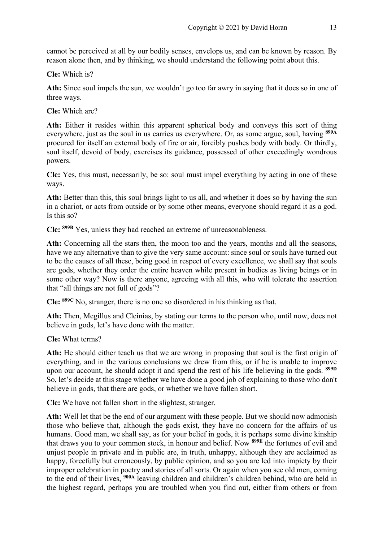cannot be perceived at all by our bodily senses, envelops us, and can be known by reason. By reason alone then, and by thinking, we should understand the following point about this.

**Cle:** Which is?

Ath: Since soul impels the sun, we wouldn't go too far awry in saying that it does so in one of three ways.

**Cle:** Which are?

**Ath:** Either it resides within this apparent spherical body and conveys this sort of thing everywhere, just as the soul in us carries us everywhere. Or, as some argue, soul, having **899A** procured for itself an external body of fire or air, forcibly pushes body with body. Or thirdly, soul itself, devoid of body, exercises its guidance, possessed of other exceedingly wondrous powers.

**Cle:** Yes, this must, necessarily, be so: soul must impel everything by acting in one of these ways.

**Ath:** Better than this, this soul brings light to us all, and whether it does so by having the sun in a chariot, or acts from outside or by some other means, everyone should regard it as a god. Is this so?

**Cle: 899B** Yes, unless they had reached an extreme of unreasonableness.

**Ath:** Concerning all the stars then, the moon too and the years, months and all the seasons, have we any alternative than to give the very same account: since soul or souls have turned out to be the causes of all these, being good in respect of every excellence, we shall say that souls are gods, whether they order the entire heaven while present in bodies as living beings or in some other way? Now is there anyone, agreeing with all this, who will tolerate the assertion that "all things are not full of gods"?

**Cle: 899C** No, stranger, there is no one so disordered in his thinking as that.

**Ath:** Then, Megillus and Cleinias, by stating our terms to the person who, until now, does not believe in gods, let's have done with the matter.

**Cle:** What terms?

**Ath:** He should either teach us that we are wrong in proposing that soul is the first origin of everything, and in the various conclusions we drew from this, or if he is unable to improve upon our account, he should adopt it and spend the rest of his life believing in the gods. **899D** So, let's decide at this stage whether we have done a good job of explaining to those who don't believe in gods, that there are gods, or whether we have fallen short.

**Cle:** We have not fallen short in the slightest, stranger.

**Ath:** Well let that be the end of our argument with these people. But we should now admonish those who believe that, although the gods exist, they have no concern for the affairs of us humans. Good man, we shall say, as for your belief in gods, it is perhaps some divine kinship that draws you to your common stock, in honour and belief. Now **899E** the fortunes of evil and unjust people in private and in public are, in truth, unhappy, although they are acclaimed as happy, forcefully but erroneously, by public opinion, and so you are led into impiety by their improper celebration in poetry and stories of all sorts. Or again when you see old men, coming to the end of their lives, **900A** leaving children and children's children behind, who are held in the highest regard, perhaps you are troubled when you find out, either from others or from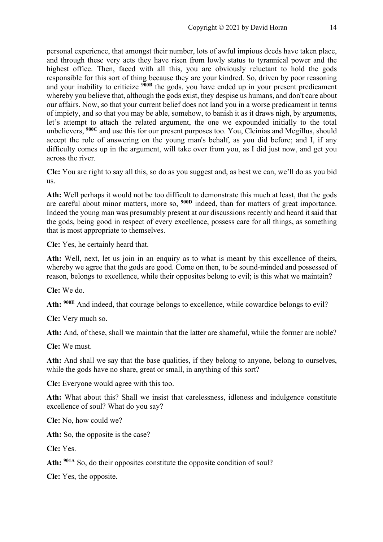personal experience, that amongst their number, lots of awful impious deeds have taken place, and through these very acts they have risen from lowly status to tyrannical power and the highest office. Then, faced with all this, you are obviously reluctant to hold the gods responsible for this sort of thing because they are your kindred. So, driven by poor reasoning and your inability to criticize **900B** the gods, you have ended up in your present predicament whereby you believe that, although the gods exist, they despise us humans, and don't care about our affairs. Now, so that your current belief does not land you in a worse predicament in terms of impiety, and so that you may be able, somehow, to banish it as it draws nigh, by arguments, let's attempt to attach the related argument, the one we expounded initially to the total unbelievers, **900C** and use this for our present purposes too. You, Cleinias and Megillus, should accept the role of answering on the young man's behalf, as you did before; and I, if any difficulty comes up in the argument, will take over from you, as I did just now, and get you across the river.

**Cle:** You are right to say all this, so do as you suggest and, as best we can, we'll do as you bid us.

**Ath:** Well perhaps it would not be too difficult to demonstrate this much at least, that the gods are careful about minor matters, more so, **900D** indeed, than for matters of great importance. Indeed the young man was presumably present at our discussions recently and heard it said that the gods, being good in respect of every excellence, possess care for all things, as something that is most appropriate to themselves.

**Cle:** Yes, he certainly heard that.

**Ath:** Well, next, let us join in an enquiry as to what is meant by this excellence of theirs, whereby we agree that the gods are good. Come on then, to be sound-minded and possessed of reason, belongs to excellence, while their opposites belong to evil; is this what we maintain?

**Cle:** We do.

**Ath: 900E** And indeed, that courage belongs to excellence, while cowardice belongs to evil?

**Cle:** Very much so.

**Ath:** And, of these, shall we maintain that the latter are shameful, while the former are noble?

**Cle:** We must.

**Ath:** And shall we say that the base qualities, if they belong to anyone, belong to ourselves, while the gods have no share, great or small, in anything of this sort?

**Cle:** Everyone would agree with this too.

**Ath:** What about this? Shall we insist that carelessness, idleness and indulgence constitute excellence of soul? What do you say?

**Cle:** No, how could we?

Ath: So, the opposite is the case?

**Cle:** Yes.

Ath: <sup>901A</sup> So, do their opposites constitute the opposite condition of soul?

**Cle:** Yes, the opposite.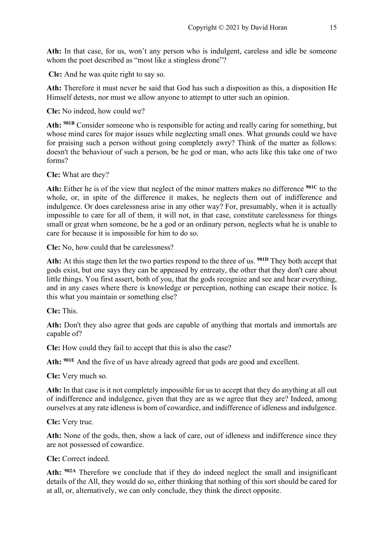Ath: In that case, for us, won't any person who is indulgent, careless and idle be someone whom the poet described as "most like a stingless drone"?

**Cle:** And he was quite right to say so.

**Ath:** Therefore it must never be said that God has such a disposition as this, a disposition He Himself detests, nor must we allow anyone to attempt to utter such an opinion.

**Cle:** No indeed, how could we?

**Ath: 901B** Consider someone who is responsible for acting and really caring for something, but whose mind cares for major issues while neglecting small ones. What grounds could we have for praising such a person without going completely awry? Think of the matter as follows: doesn't the behaviour of such a person, be he god or man, who acts like this take one of two forms?

**Cle:** What are they?

**Ath:** Either he is of the view that neglect of the minor matters makes no difference **901C** to the whole, or, in spite of the difference it makes, he neglects them out of indifference and indulgence. Or does carelessness arise in any other way? For, presumably, when it is actually impossible to care for all of them, it will not, in that case, constitute carelessness for things small or great when someone, be he a god or an ordinary person, neglects what he is unable to care for because it is impossible for him to do so.

**Cle:** No, how could that be carelessness?

**Ath:** At this stage then let the two parties respond to the three of us. **901D** They both accept that gods exist, but one says they can be appeased by entreaty, the other that they don't care about little things. You first assert, both of you, that the gods recognize and see and hear everything, and in any cases where there is knowledge or perception, nothing can escape their notice. Is this what you maintain or something else?

**Cle:** This.

**Ath:** Don't they also agree that gods are capable of anything that mortals and immortals are capable of?

**Cle:** How could they fail to accept that this is also the case?

**Ath: 901E** And the five of us have already agreed that gods are good and excellent.

**Cle:** Very much so.

**Ath:** In that case is it not completely impossible for us to accept that they do anything at all out of indifference and indulgence, given that they are as we agree that they are? Indeed, among ourselves at any rate idleness is born of cowardice, and indifference of idleness and indulgence.

**Cle:** Very true.

**Ath:** None of the gods, then, show a lack of care, out of idleness and indifference since they are not possessed of cowardice.

**Cle:** Correct indeed.

**Ath: 902A** Therefore we conclude that if they do indeed neglect the small and insignificant details of the All, they would do so, either thinking that nothing of this sort should be cared for at all, or, alternatively, we can only conclude, they think the direct opposite.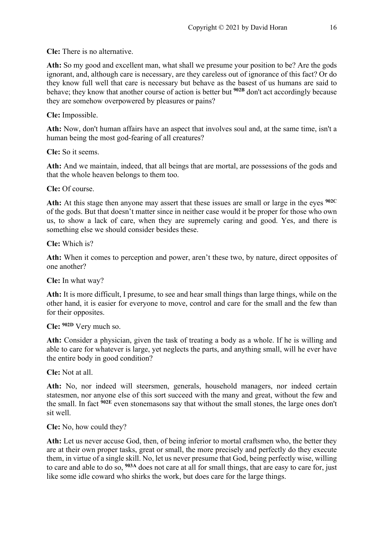**Cle:** There is no alternative.

**Ath:** So my good and excellent man, what shall we presume your position to be? Are the gods ignorant, and, although care is necessary, are they careless out of ignorance of this fact? Or do they know full well that care is necessary but behave as the basest of us humans are said to behave; they know that another course of action is better but **902B** don't act accordingly because they are somehow overpowered by pleasures or pains?

**Cle:** Impossible.

**Ath:** Now, don't human affairs have an aspect that involves soul and, at the same time, isn't a human being the most god-fearing of all creatures?

**Cle:** So it seems.

**Ath:** And we maintain, indeed, that all beings that are mortal, are possessions of the gods and that the whole heaven belongs to them too.

**Cle:** Of course.

**Ath:** At this stage then anyone may assert that these issues are small or large in the eyes **902C** of the gods. But that doesn't matter since in neither case would it be proper for those who own us, to show a lack of care, when they are supremely caring and good. Yes, and there is something else we should consider besides these.

**Cle:** Which is?

**Ath:** When it comes to perception and power, aren't these two, by nature, direct opposites of one another?

**Cle:** In what way?

**Ath:** It is more difficult, I presume, to see and hear small things than large things, while on the other hand, it is easier for everyone to move, control and care for the small and the few than for their opposites.

**Cle: 902D** Very much so.

**Ath:** Consider a physician, given the task of treating a body as a whole. If he is willing and able to care for whatever is large, yet neglects the parts, and anything small, will he ever have the entire body in good condition?

**Cle:** Not at all.

**Ath:** No, nor indeed will steersmen, generals, household managers, nor indeed certain statesmen, nor anyone else of this sort succeed with the many and great, without the few and the small. In fact **902E** even stonemasons say that without the small stones, the large ones don't sit well.

**Cle:** No, how could they?

**Ath:** Let us never accuse God, then, of being inferior to mortal craftsmen who, the better they are at their own proper tasks, great or small, the more precisely and perfectly do they execute them, in virtue of a single skill. No, let us never presume that God, being perfectly wise, willing to care and able to do so, **903A** does not care at all for small things, that are easy to care for, just like some idle coward who shirks the work, but does care for the large things.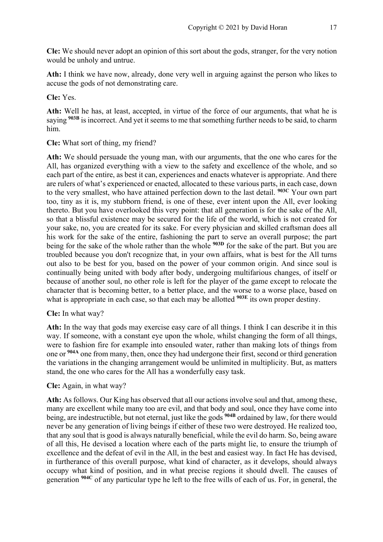**Cle:** We should never adopt an opinion of this sort about the gods, stranger, for the very notion would be unholy and untrue.

**Ath:** I think we have now, already, done very well in arguing against the person who likes to accuse the gods of not demonstrating care.

**Cle:** Yes.

**Ath:** Well he has, at least, accepted, in virtue of the force of our arguments, that what he is saying <sup>903B</sup> is incorrect. And yet it seems to me that something further needs to be said, to charm him.

**Cle:** What sort of thing, my friend?

**Ath:** We should persuade the young man, with our arguments, that the one who cares for the All, has organized everything with a view to the safety and excellence of the whole, and so each part of the entire, as best it can, experiences and enacts whatever is appropriate. And there are rulers of what's experienced or enacted, allocated to these various parts, in each case, down to the very smallest, who have attained perfection down to the last detail. **903C** Your own part too, tiny as it is, my stubborn friend, is one of these, ever intent upon the All, ever looking thereto. But you have overlooked this very point: that all generation is for the sake of the All, so that a blissful existence may be secured for the life of the world, which is not created for your sake, no, you are created for its sake. For every physician and skilled craftsman does all his work for the sake of the entire, fashioning the part to serve an overall purpose; the part being for the sake of the whole rather than the whole **903D** for the sake of the part. But you are troubled because you don't recognize that, in your own affairs, what is best for the All turns out also to be best for you, based on the power of your common origin. And since soul is continually being united with body after body, undergoing multifarious changes, of itself or because of another soul, no other role is left for the player of the game except to relocate the character that is becoming better, to a better place, and the worse to a worse place, based on what is appropriate in each case, so that each may be allotted <sup>903E</sup> its own proper destiny.

# **Cle:** In what way?

**Ath:** In the way that gods may exercise easy care of all things. I think I can describe it in this way. If someone, with a constant eye upon the whole, whilst changing the form of all things, were to fashion fire for example into ensouled water, rather than making lots of things from one or **904A** one from many, then, once they had undergone their first, second or third generation the variations in the changing arrangement would be unlimited in multiplicity. But, as matters stand, the one who cares for the All has a wonderfully easy task.

# **Cle:** Again, in what way?

**Ath:** As follows. Our King has observed that all our actions involve soul and that, among these, many are excellent while many too are evil, and that body and soul, once they have come into being, are indestructible, but not eternal, just like the gods **904B** ordained by law, for there would never be any generation of living beings if either of these two were destroyed. He realized too, that any soul that is good is always naturally beneficial, while the evil do harm. So, being aware of all this, He devised a location where each of the parts might lie, to ensure the triumph of excellence and the defeat of evil in the All, in the best and easiest way. In fact He has devised, in furtherance of this overall purpose, what kind of character, as it develops, should always occupy what kind of position, and in what precise regions it should dwell. The causes of generation **904C** of any particular type he left to the free wills of each of us. For, in general, the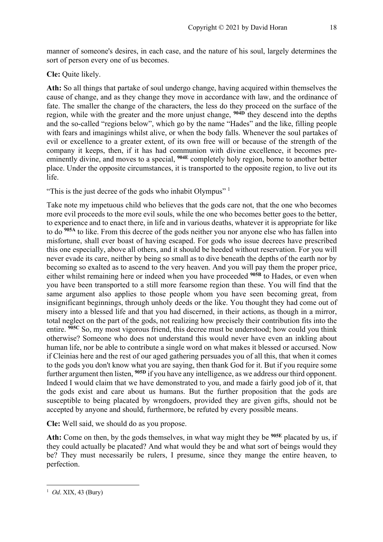manner of someone's desires, in each case, and the nature of his soul, largely determines the sort of person every one of us becomes.

#### **Cle:** Quite likely.

**Ath:** So all things that partake of soul undergo change, having acquired within themselves the cause of change, and as they change they move in accordance with law, and the ordinance of fate. The smaller the change of the characters, the less do they proceed on the surface of the region, while with the greater and the more unjust change, **904D** they descend into the depths and the so-called "regions below", which go by the name "Hades" and the like, filling people with fears and imaginings whilst alive, or when the body falls. Whenever the soul partakes of evil or excellence to a greater extent, of its own free will or because of the strength of the company it keeps, then, if it has had communion with divine excellence, it becomes preeminently divine, and moves to a special, **904E** completely holy region, borne to another better place. Under the opposite circumstances, it is transported to the opposite region, to live out its life.

"This is the just decree of the gods who inhabit Olympus"  $1$ 

Take note my impetuous child who believes that the gods care not, that the one who becomes more evil proceeds to the more evil souls, while the one who becomes better goes to the better, to experience and to enact there, in life and in various deaths, whatever it is appropriate for like to do **905A** to like. From this decree of the gods neither you nor anyone else who has fallen into misfortune, shall ever boast of having escaped. For gods who issue decrees have prescribed this one especially, above all others, and it should be heeded without reservation. For you will never evade its care, neither by being so small as to dive beneath the depths of the earth nor by becoming so exalted as to ascend to the very heaven. And you will pay them the proper price, either whilst remaining here or indeed when you have proceeded **905B** to Hades, or even when you have been transported to a still more fearsome region than these. You will find that the same argument also applies to those people whom you have seen becoming great, from insignificant beginnings, through unholy deeds or the like. You thought they had come out of misery into a blessed life and that you had discerned, in their actions, as though in a mirror, total neglect on the part of the gods, not realizing how precisely their contribution fits into the entire. **905C** So, my most vigorous friend, this decree must be understood; how could you think otherwise? Someone who does not understand this would never have even an inkling about human life, nor be able to contribute a single word on what makes it blessed or accursed. Now if Cleinias here and the rest of our aged gathering persuades you of all this, that when it comes to the gods you don't know what you are saying, then thank God for it. But if you require some further argument then listen, **905D** if you have any intelligence, as we address our third opponent. Indeed I would claim that we have demonstrated to you, and made a fairly good job of it, that the gods exist and care about us humans. But the further proposition that the gods are susceptible to being placated by wrongdoers, provided they are given gifts, should not be accepted by anyone and should, furthermore, be refuted by every possible means.

**Cle:** Well said, we should do as you propose.

**Ath:** Come on then, by the gods themselves, in what way might they be **905E** placated by us, if they could actually be placated? And what would they be and what sort of beings would they be? They must necessarily be rulers, I presume, since they mange the entire heaven, to perfection.

<sup>1</sup> *Od*. XIX, 43 (Bury)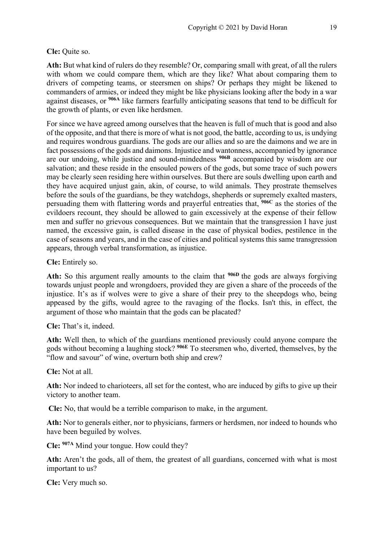# **Cle:** Quite so.

**Ath:** But what kind of rulers do they resemble? Or, comparing small with great, of all the rulers with whom we could compare them, which are they like? What about comparing them to drivers of competing teams, or steersmen on ships? Or perhaps they might be likened to commanders of armies, or indeed they might be like physicians looking after the body in a war against diseases, or **906A** like farmers fearfully anticipating seasons that tend to be difficult for the growth of plants, or even like herdsmen.

For since we have agreed among ourselves that the heaven is full of much that is good and also of the opposite, and that there is more of what is not good, the battle, according to us, is undying and requires wondrous guardians. The gods are our allies and so are the daimons and we are in fact possessions of the gods and daimons. Injustice and wantonness, accompanied by ignorance are our undoing, while justice and sound-mindedness **906B** accompanied by wisdom are our salvation; and these reside in the ensouled powers of the gods, but some trace of such powers may be clearly seen residing here within ourselves. But there are souls dwelling upon earth and they have acquired unjust gain, akin, of course, to wild animals. They prostrate themselves before the souls of the guardians, be they watchdogs, shepherds or supremely exalted masters, persuading them with flattering words and prayerful entreaties that, **906C** as the stories of the evildoers recount, they should be allowed to gain excessively at the expense of their fellow men and suffer no grievous consequences. But we maintain that the transgression I have just named, the excessive gain, is called disease in the case of physical bodies, pestilence in the case of seasons and years, and in the case of cities and political systems this same transgression appears, through verbal transformation, as injustice.

**Cle:** Entirely so.

**Ath:** So this argument really amounts to the claim that **906D** the gods are always forgiving towards unjust people and wrongdoers, provided they are given a share of the proceeds of the injustice. It's as if wolves were to give a share of their prey to the sheepdogs who, being appeased by the gifts, would agree to the ravaging of the flocks. Isn't this, in effect, the argument of those who maintain that the gods can be placated?

**Cle:** That's it, indeed.

**Ath:** Well then, to which of the guardians mentioned previously could anyone compare the gods without becoming a laughing stock? **906E** To steersmen who, diverted, themselves, by the "flow and savour" of wine, overturn both ship and crew?

**Cle:** Not at all.

**Ath:** Nor indeed to charioteers, all set for the contest, who are induced by gifts to give up their victory to another team.

**Cle:** No, that would be a terrible comparison to make, in the argument.

**Ath:** Nor to generals either, nor to physicians, farmers or herdsmen, nor indeed to hounds who have been beguiled by wolves.

**Cle: 907A** Mind your tongue. How could they?

**Ath:** Aren't the gods, all of them, the greatest of all guardians, concerned with what is most important to us?

**Cle:** Very much so.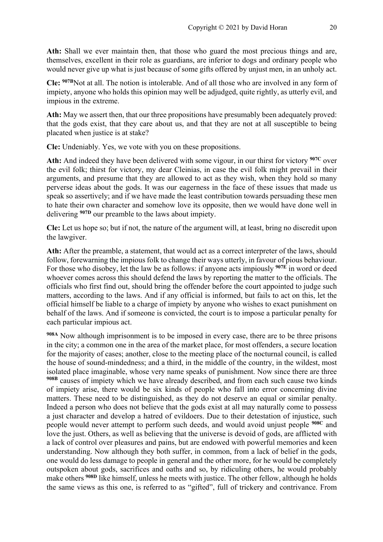**Ath:** Shall we ever maintain then, that those who guard the most precious things and are, themselves, excellent in their role as guardians, are inferior to dogs and ordinary people who would never give up what is just because of some gifts offered by unjust men, in an unholy act.

**Cle: 907Β**Not at all. The notion is intolerable. And of all those who are involved in any form of impiety, anyone who holds this opinion may well be adjudged, quite rightly, as utterly evil, and impious in the extreme.

**Ath:** May we assert then, that our three propositions have presumably been adequately proved: that the gods exist, that they care about us, and that they are not at all susceptible to being placated when justice is at stake?

**Cle:** Undeniably. Yes, we vote with you on these propositions.

**Ath:** And indeed they have been delivered with some vigour, in our thirst for victory **907C** over the evil folk; thirst for victory, my dear Cleinias, in case the evil folk might prevail in their arguments, and presume that they are allowed to act as they wish, when they hold so many perverse ideas about the gods. It was our eagerness in the face of these issues that made us speak so assertively; and if we have made the least contribution towards persuading these men to hate their own character and somehow love its opposite, then we would have done well in delivering **907D** our preamble to the laws about impiety.

**Cle:** Let us hope so; but if not, the nature of the argument will, at least, bring no discredit upon the lawgiver.

**Ath:** After the preamble, a statement, that would act as a correct interpreter of the laws, should follow, forewarning the impious folk to change their ways utterly, in favour of pious behaviour. For those who disobey, let the law be as follows: if anyone acts impiously **907E** in word or deed whoever comes across this should defend the laws by reporting the matter to the officials. The officials who first find out, should bring the offender before the court appointed to judge such matters, according to the laws. And if any official is informed, but fails to act on this, let the official himself be liable to a charge of impiety by anyone who wishes to exact punishment on behalf of the laws. And if someone is convicted, the court is to impose a particular penalty for each particular impious act.

**908A** Now although imprisonment is to be imposed in every case, there are to be three prisons in the city; a common one in the area of the market place, for most offenders, a secure location for the majority of cases; another, close to the meeting place of the nocturnal council, is called the house of sound-mindedness; and a third, in the middle of the country, in the wildest, most isolated place imaginable, whose very name speaks of punishment. Now since there are three **908B** causes of impiety which we have already described, and from each such cause two kinds of impiety arise, there would be six kinds of people who fall into error concerning divine matters. These need to be distinguished, as they do not deserve an equal or similar penalty. Indeed a person who does not believe that the gods exist at all may naturally come to possess a just character and develop a hatred of evildoers. Due to their detestation of injustice, such people would never attempt to perform such deeds, and would avoid unjust people **908C** and love the just. Others, as well as believing that the universe is devoid of gods, are afflicted with a lack of control over pleasures and pains, but are endowed with powerful memories and keen understanding. Now although they both suffer, in common, from a lack of belief in the gods, one would do less damage to people in general and the other more, for he would be completely outspoken about gods, sacrifices and oaths and so, by ridiculing others, he would probably make others **908D** like himself, unless he meets with justice. The other fellow, although he holds the same views as this one, is referred to as "gifted", full of trickery and contrivance. From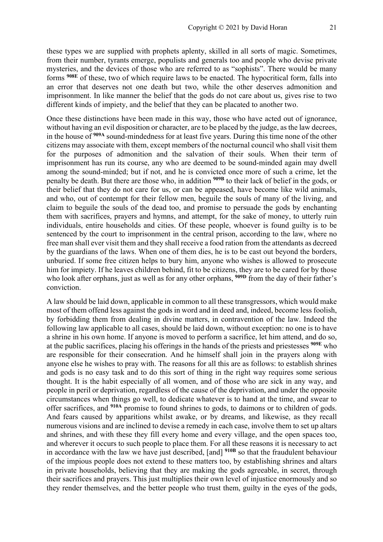these types we are supplied with prophets aplenty, skilled in all sorts of magic. Sometimes, from their number, tyrants emerge, populists and generals too and people who devise private mysteries, and the devices of those who are referred to as "sophists". There would be many forms **908E** of these, two of which require laws to be enacted. The hypocritical form, falls into an error that deserves not one death but two, while the other deserves admonition and imprisonment. In like manner the belief that the gods do not care about us, gives rise to two different kinds of impiety, and the belief that they can be placated to another two.

Once these distinctions have been made in this way, those who have acted out of ignorance, without having an evil disposition or character, are to be placed by the judge, as the law decrees, in the house of **909A** sound-mindedness for at least five years. During this time none of the other citizens may associate with them, except members of the nocturnal council who shall visit them for the purposes of admonition and the salvation of their souls. When their term of imprisonment has run its course, any who are deemed to be sound-minded again may dwell among the sound-minded; but if not, and he is convicted once more of such a crime, let the penalty be death. But there are those who, in addition **909B** to their lack of belief in the gods, or their belief that they do not care for us, or can be appeased, have become like wild animals, and who, out of contempt for their fellow men, beguile the souls of many of the living, and claim to beguile the souls of the dead too, and promise to persuade the gods by enchanting them with sacrifices, prayers and hymns, and attempt, for the sake of money, to utterly ruin individuals, entire households and cities. Of these people, whoever is found guilty is to be sentenced by the court to imprisonment in the central prison, according to the law, where no free man shall ever visit them and they shall receive a food ration from the attendants as decreed by the guardians of the laws. When one of them dies, he is to be cast out beyond the borders, unburied. If some free citizen helps to bury him, anyone who wishes is allowed to prosecute him for impiety. If he leaves children behind, fit to be citizens, they are to be cared for by those who look after orphans, just as well as for any other orphans, **909D** from the day of their father's conviction.

A law should be laid down, applicable in common to all these transgressors, which would make most of them offend less against the gods in word and in deed and, indeed, become less foolish, by forbidding them from dealing in divine matters, in contravention of the law. Indeed the following law applicable to all cases, should be laid down, without exception: no one is to have a shrine in his own home. If anyone is moved to perform a sacrifice, let him attend, and do so, at the public sacrifices, placing his offerings in the hands of the priests and priestesses **909E** who are responsible for their consecration. And he himself shall join in the prayers along with anyone else he wishes to pray with. The reasons for all this are as follows: to establish shrines and gods is no easy task and to do this sort of thing in the right way requires some serious thought. It is the habit especially of all women, and of those who are sick in any way, and people in peril or deprivation, regardless of the cause of the deprivation, and under the opposite circumstances when things go well, to dedicate whatever is to hand at the time, and swear to offer sacrifices, and **910A** promise to found shrines to gods, to daimons or to children of gods. And fears caused by apparitions whilst awake, or by dreams, and likewise, as they recall numerous visions and are inclined to devise a remedy in each case, involve them to set up altars and shrines, and with these they fill every home and every village, and the open spaces too, and wherever it occurs to such people to place them. For all these reasons it is necessary to act in accordance with the law we have just described, [and] **910B** so that the fraudulent behaviour of the impious people does not extend to these matters too, by establishing shrines and altars in private households, believing that they are making the gods agreeable, in secret, through their sacrifices and prayers. This just multiplies their own level of injustice enormously and so they render themselves, and the better people who trust them, guilty in the eyes of the gods,